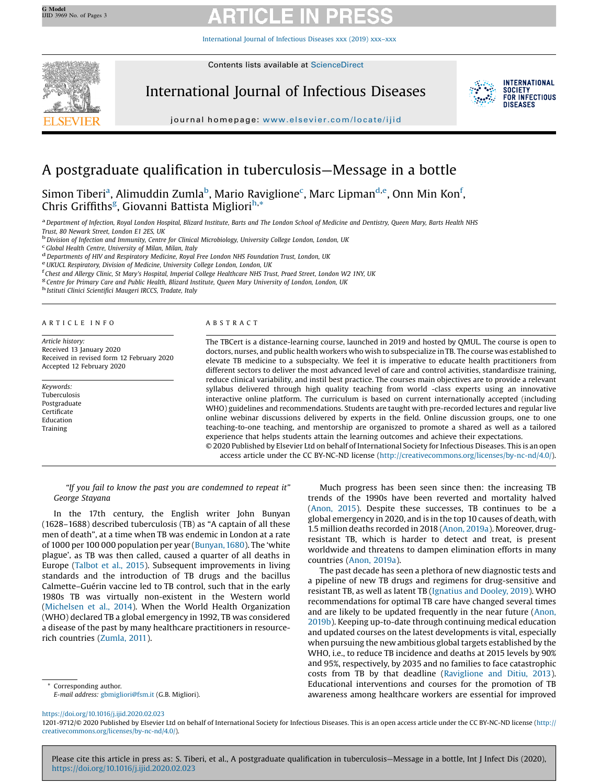[International](https://doi.org/10.1016/j.ijid.2020.02.023) Journal of Infectious Diseases xxx (2019) xxx–xxx



Contents lists available at [ScienceDirect](http://www.sciencedirect.com/science/journal/12019712)

International Journal of Infectious Diseases



journal homepage: <www.elsevier.com/locate/ijid>

# A postgraduate qualification in tuberculosis—Message in a bottle

Simon Tiberi<sup>a</sup>, Alimuddin Zumla<sup>b</sup>, Mario Raviglione<sup>c</sup>, Marc Lipman<sup>d,e</sup>, Onn Min Kon<sup>f</sup>, Chris Griffiths<sup>g</sup>, Giovanni Battista Migliori<sup>h,\*</sup>

a Department of Infection, Royal London Hospital, Blizard Institute, Barts and The London School of Medicine and Dentistry, Queen Mary, Barts Health NHS<br>Trust, 80 Newark Street, London E1 2ES, UK

Trust, 80 Newark Street, Entertion Entertainment Street, London Entertainment Street, London Entertainment Division of Infection and Immunity, Centre for Clinical Microbiology, University College London, London, UK<br>Calobal

<sup>d</sup> Departments of HIV and Respiratory Medicine, Royal Free London NHS Foundation Trust, London, UK<br><sup>e</sup> UKUCL Respiratory, Division of Medicine, University College London, London, UK<br><sup>f</sup> Chest and Allergy Clinic, St Mary'

 $^{\rm g}$ Centre for Primary Care and Public Health, Blizard Institute, Queen Mary University of London, London, UK $^{\rm h}$ Istituti Clinici Scientifici Maugeri IRCCS, Tradate, Italy

#### A R T I C L E I N F O

Article history: Received 13 January 2020 Received in revised form 12 February 2020 Accepted 12 February 2020

Keywords: Tuberculosis Postgraduate Certificate Education Training

### A B S T R A C T

The TBCert is a distance-learning course, launched in 2019 and hosted by QMUL. The course is open to doctors, nurses, and public health workers who wish to subspecialize in TB. The course was established to elevate TB medicine to a subspecialty. We feel it is imperative to educate health practitioners from different sectors to deliver the most advanced level of care and control activities, standardisze training, reduce clinical variability, and instil best practice. The courses main objectives are to provide a relevant syllabus delivered through high quality teaching from world -class experts using an innovative interactive online platform. The curriculum is based on current internationally accepted (including WHO) guidelines and recommendations. Students are taught with pre-recorded lectures and regular live online webinar discussions delivered by experts in the field. Online discussion groups, one to one teaching-to-one teaching, and mentorship are organiszed to promote a shared as well as a tailored experience that helps students attain the learning outcomes and achieve their expectations.

© 2020 Published by Elsevier Ltd on behalf of International Society for Infectious Diseases. This is an open access article under the CC BY-NC-ND license [\(http://creativecommons.org/licenses/by-nc-nd/4.0/](http://creativecommons.org/licenses/by-nc-nd/4.0/)).

"If you fail to know the past you are condemned to repeat it" George Stayana

In the 17th century, the English writer John Bunyan (1628–1688) described tuberculosis (TB) as "A captain of all these men of death", at a time when TB was endemic in London at a rate of 1000 per 100 000 population per year [\(Bunyan,1680](#page-1-0)). The 'white plague', as TB was then called, caused a quarter of all deaths in Europe ([Talbot](#page-2-0) et al., 2015). Subsequent improvements in living standards and the introduction of TB drugs and the bacillus Calmette–Guérin vaccine led to TB control, such that in the early 1980s TB was virtually non-existent in the Western world ([Michelsen](#page-2-0) et al., 2014). When the World Health Organization (WHO) declared TB a global emergency in 1992, TB was considered a disease of the past by many healthcare practitioners in resourcerich countries ([Zumla,](#page-2-0) 2011).

Corresponding author. E-mail address: [gbmigliori@fsm.it](mailto:gbmigliori@fsm.it) (G.B. Migliori).

Much progress has been seen since then: the increasing TB trends of the 1990s have been reverted and mortality halved ([Anon,](#page-1-0) 2015). Despite these successes, TB continues to be a global emergency in 2020, and is in the top 10 causes of death, with 1.5 million deaths recorded in 2018 (Anon, [2019a](#page-1-0)). Moreover, drugresistant TB, which is harder to detect and treat, is present worldwide and threatens to dampen elimination efforts in many countries (Anon, [2019a\)](#page-1-0).

The past decade has seen a plethora of new diagnostic tests and a pipeline of new TB drugs and regimens for drug-sensitive and resistant TB, as well as latent TB [\(Ignatius](#page-2-0) and Dooley, 2019). WHO recommendations for optimal TB care have changed several times and are likely to be updated frequently in the near future [\(Anon,](#page-1-0) [2019b\)](#page-1-0). Keeping up-to-date through continuing medical education and updated courses on the latest developments is vital, especially when pursuing the new ambitious global targets established by the WHO, i.e., to reduce TB incidence and deaths at 2015 levels by 90% and 95%, respectively, by 2035 and no families to face catastrophic costs from TB by that deadline [\(Raviglione](#page-2-0) and Ditiu, 2013). Educational interventions and courses for the promotion of TB awareness among healthcare workers are essential for improved

<https://doi.org/10.1016/j.ijid.2020.02.023>

1201-9712/© 2020 Published by Elsevier Ltd on behalf of International Society for Infectious Diseases. This is an open access article under the CC BY-NC-ND license ([http://](http://creativecommons.org/licenses/by-nc-nd/4.0/) [creativecommons.org/licenses/by-nc-nd/4.0/](http://creativecommons.org/licenses/by-nc-nd/4.0/)).

Please cite this article in press as: S. Tiberi, et al., A postgraduate qualification in tuberculosis—Message in a bottle, Int J Infect Dis (2020), <https://doi.org/10.1016/j.ijid.2020.02.023>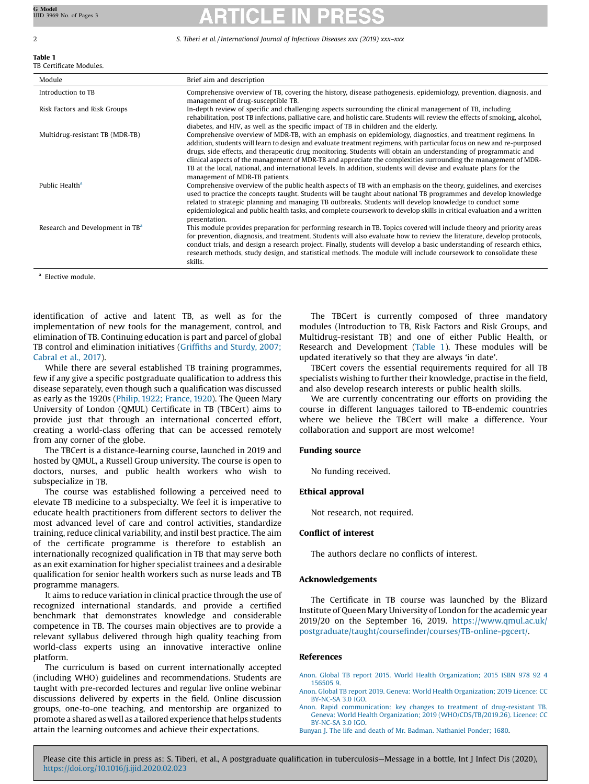# Table 1

### TB Certificate Modules.

<span id="page-1-0"></span>2 S. Tiberi et al. / International Journal of Infectious Diseases xxx (2019) xxx–xxx

| Module                                      | Brief aim and description                                                                                                                                                                                                                                                                                                                                                                                                                                                                                                                                                                                                         |
|---------------------------------------------|-----------------------------------------------------------------------------------------------------------------------------------------------------------------------------------------------------------------------------------------------------------------------------------------------------------------------------------------------------------------------------------------------------------------------------------------------------------------------------------------------------------------------------------------------------------------------------------------------------------------------------------|
| Introduction to TB                          | Comprehensive overview of TB, covering the history, disease pathogenesis, epidemiology, prevention, diagnosis, and<br>management of drug-susceptible TB.                                                                                                                                                                                                                                                                                                                                                                                                                                                                          |
| Risk Factors and Risk Groups                | In-depth review of specific and challenging aspects surrounding the clinical management of TB, including<br>rehabilitation, post TB infections, palliative care, and holistic care. Students will review the effects of smoking, alcohol,<br>diabetes, and HIV, as well as the specific impact of TB in children and the elderly.                                                                                                                                                                                                                                                                                                 |
| Multidrug-resistant TB (MDR-TB)             | Comprehensive overview of MDR-TB, with an emphasis on epidemiology, diagnostics, and treatment regimens. In<br>addition, students will learn to design and evaluate treatment regimens, with particular focus on new and re-purposed<br>drugs, side effects, and therapeutic drug monitoring. Students will obtain an understanding of programmatic and<br>clinical aspects of the management of MDR-TB and appreciate the complexities surrounding the management of MDR-<br>TB at the local, national, and international levels. In addition, students will devise and evaluate plans for the<br>management of MDR-TB patients. |
| Public Health <sup>a</sup>                  | Comprehensive overview of the public health aspects of TB with an emphasis on the theory, guidelines, and exercises<br>used to practice the concepts taught. Students will be taught about national TB programmes and develop knowledge<br>related to strategic planning and managing TB outbreaks. Students will develop knowledge to conduct some<br>epidemiological and public health tasks, and complete coursework to develop skills in critical evaluation and a written<br>presentation.                                                                                                                                   |
| Research and Development in TB <sup>a</sup> | This module provides preparation for performing research in TB. Topics covered will include theory and priority areas<br>for prevention, diagnosis, and treatment. Students will also evaluate how to review the literature, develop protocols,<br>conduct trials, and design a research project. Finally, students will develop a basic understanding of research ethics,<br>research methods, study design, and statistical methods. The module will include coursework to consolidate these<br>skills.                                                                                                                         |

<sup>a</sup> Elective module.

identification of active and latent TB, as well as for the implementation of new tools for the management, control, and elimination of TB. Continuing education is part and parcel of global TB control and elimination initiatives (Griffiths and [Sturdy,](#page-2-0) 2007; [Cabral](#page-2-0) et al., 2017).

While there are several established TB training programmes, few if any give a specific postgraduate qualification to address this disease separately, even though such a qualification was discussed as early as the 1920s (Philip, 1922; [France,](#page-2-0) 1920). The Queen Mary University of London (QMUL) Certificate in TB (TBCert) aims to provide just that through an international concerted effort, creating a world-class offering that can be accessed remotely from any corner of the globe.

The TBCert is a distance-learning course, launched in 2019 and hosted by QMUL, a Russell Group university. The course is open to doctors, nurses, and public health workers who wish to subspecialize in TB.

The course was established following a perceived need to elevate TB medicine to a subspecialty. We feel it is imperative to educate health practitioners from different sectors to deliver the most advanced level of care and control activities, standardize training, reduce clinical variability, and instil best practice. The aim of the certificate programme is therefore to establish an internationally recognized qualification in TB that may serve both as an exit examination for higher specialist trainees and a desirable qualification for senior health workers such as nurse leads and TB programme managers.

It aims to reduce variation in clinical practice through the use of recognized international standards, and provide a certified benchmark that demonstrates knowledge and considerable competence in TB. The courses main objectives are to provide a relevant syllabus delivered through high quality teaching from world-class experts using an innovative interactive online platform.

The curriculum is based on current internationally accepted (including WHO) guidelines and recommendations. Students are taught with pre-recorded lectures and regular live online webinar discussions delivered by experts in the field. Online discussion groups, one-to-one teaching, and mentorship are organized to promote a shared as well as a tailored experience that helps students attain the learning outcomes and achieve their expectations.

The TBCert is currently composed of three mandatory modules (Introduction to TB, Risk Factors and Risk Groups, and Multidrug-resistant TB) and one of either Public Health, or Research and Development (Table 1). These modules will be updated iteratively so that they are always 'in date'.

TBCert covers the essential requirements required for all TB specialists wishing to further their knowledge, practise in the field, and also develop research interests or public health skills.

We are currently concentrating our efforts on providing the course in different languages tailored to TB-endemic countries where we believe the TBCert will make a difference. Your collaboration and support are most welcome!

# Funding source

No funding received.

# Ethical approval

Not research, not required.

# Conflict of interest

The authors declare no conflicts of interest.

# Acknowledgements

The Certificate in TB course was launched by the Blizard Institute of Queen Mary University of London for the academic year 2019/20 on the September 16, 2019. [https://www.qmul.ac.uk/](https://www.qmul.ac.uk/postgraduate/taught/coursefinder/courses/TB-online-pgcert/) postgraduate/taught/coursefi[nder/courses/TB-online-pgcert/.](https://www.qmul.ac.uk/postgraduate/taught/coursefinder/courses/TB-online-pgcert/)

# References

Anon. Global TB report 2015. World Health [Organization;](http://refhub.elsevier.com/S1201-9712(20)30081-3/sbref0005) 2015 ISBN 978 92 4 [156505](http://refhub.elsevier.com/S1201-9712(20)30081-3/sbref0005) 9.

Anon. Global TB report 2019. Geneva: World Health [Organization;](http://refhub.elsevier.com/S1201-9712(20)30081-3/sbref0010) 2019 Licence: CC [BY-NC-SA](http://refhub.elsevier.com/S1201-9712(20)30081-3/sbref0010) 3.0 IGO.

Anon. Rapid [communication:](http://refhub.elsevier.com/S1201-9712(20)30081-3/sbref0015) key changes to treatment of drug-resistant TB. Geneva: World Health Organization; 2019 [\(WHO/CDS/TB/2019.26\).](http://refhub.elsevier.com/S1201-9712(20)30081-3/sbref0015) Licence: CC [BY-NC-SA](http://refhub.elsevier.com/S1201-9712(20)30081-3/sbref0015) 3.0 IGO.

Bunyan J. The life and death of Mr. Badman. [Nathaniel](http://refhub.elsevier.com/S1201-9712(20)30081-3/sbref0020) Ponder; 1680.